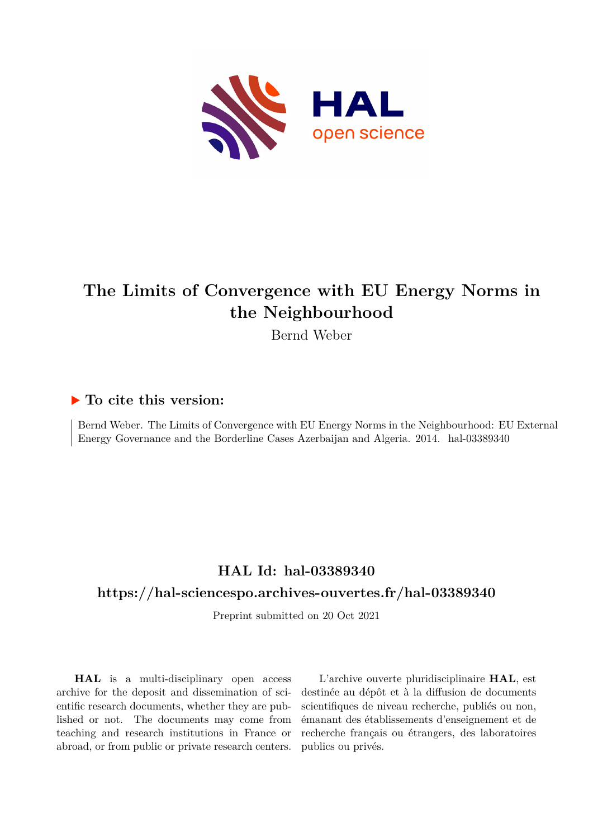

# **The Limits of Convergence with EU Energy Norms in the Neighbourhood**

Bernd Weber

## **To cite this version:**

Bernd Weber. The Limits of Convergence with EU Energy Norms in the Neighbourhood: EU External Energy Governance and the Borderline Cases Azerbaijan and Algeria. 2014. hal-03389340

## **HAL Id: hal-03389340**

### **<https://hal-sciencespo.archives-ouvertes.fr/hal-03389340>**

Preprint submitted on 20 Oct 2021

**HAL** is a multi-disciplinary open access archive for the deposit and dissemination of scientific research documents, whether they are published or not. The documents may come from teaching and research institutions in France or abroad, or from public or private research centers.

L'archive ouverte pluridisciplinaire **HAL**, est destinée au dépôt et à la diffusion de documents scientifiques de niveau recherche, publiés ou non, émanant des établissements d'enseignement et de recherche français ou étrangers, des laboratoires publics ou privés.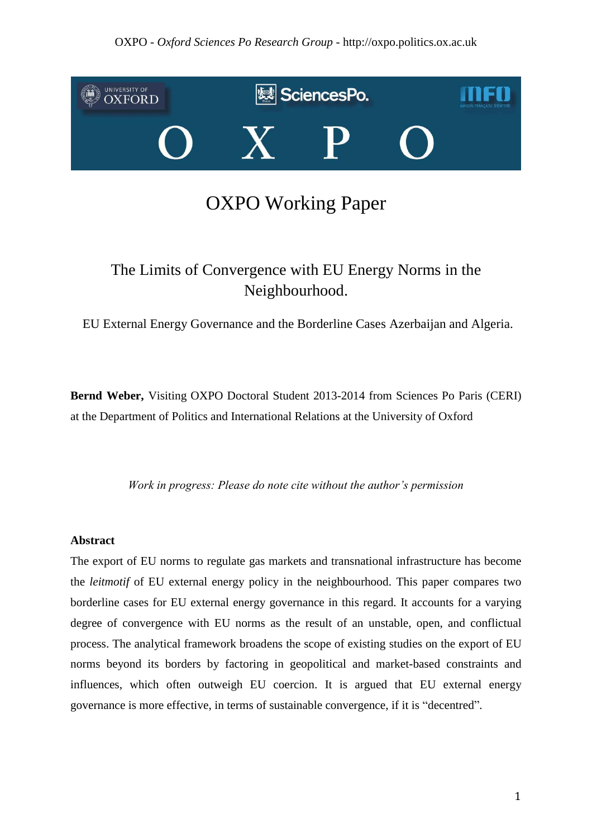### OXPO - *Oxford Sciences Po Research Group* - http://oxpo.politics.ox.ac.uk



# OXPO Working Paper

# The Limits of Convergence with EU Energy Norms in the Neighbourhood.

EU External Energy Governance and the Borderline Cases Azerbaijan and Algeria.

**Bernd Weber,** Visiting OXPO Doctoral Student 2013-2014 from Sciences Po Paris (CERI) at the Department of Politics and International Relations at the University of Oxford

*Work in progress: Please do note cite without the author's permission*

#### **Abstract**

The export of EU norms to regulate gas markets and transnational infrastructure has become the *leitmotif* of EU external energy policy in the neighbourhood. This paper compares two borderline cases for EU external energy governance in this regard. It accounts for a varying degree of convergence with EU norms as the result of an unstable, open, and conflictual process. The analytical framework broadens the scope of existing studies on the export of EU norms beyond its borders by factoring in geopolitical and market-based constraints and influences, which often outweigh EU coercion. It is argued that EU external energy governance is more effective, in terms of sustainable convergence, if it is "decentred".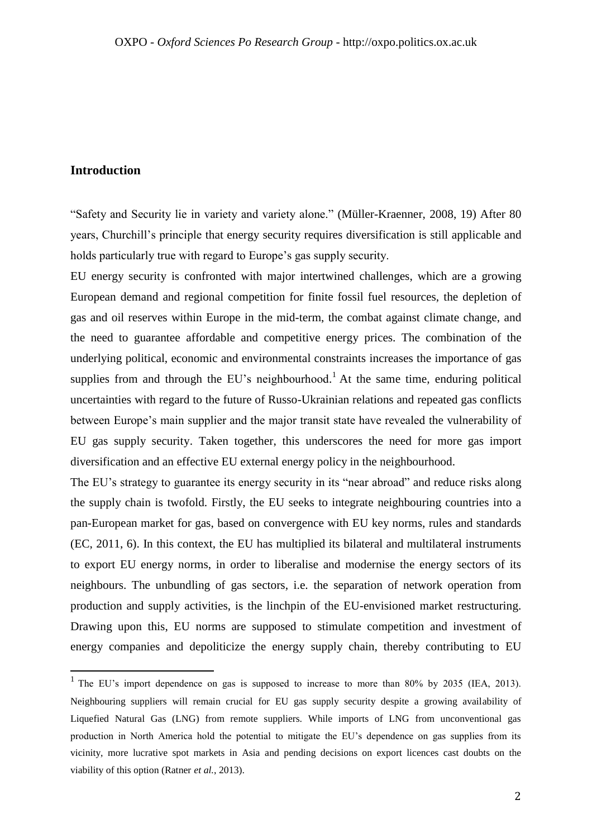#### **Introduction**

"Safety and Security lie in variety and variety alone." (Müller-Kraenner, 2008, 19) After 80 years, Churchill's principle that energy security requires diversification is still applicable and holds particularly true with regard to Europe's gas supply security.

EU energy security is confronted with major intertwined challenges, which are a growing European demand and regional competition for finite fossil fuel resources, the depletion of gas and oil reserves within Europe in the mid-term, the combat against climate change, and the need to guarantee affordable and competitive energy prices. The combination of the underlying political, economic and environmental constraints increases the importance of gas supplies from and through the EU's neighbourhood.<sup>1</sup> At the same time, enduring political uncertainties with regard to the future of Russo-Ukrainian relations and repeated gas conflicts between Europe's main supplier and the major transit state have revealed the vulnerability of EU gas supply security. Taken together, this underscores the need for more gas import diversification and an effective EU external energy policy in the neighbourhood.

The EU's strategy to guarantee its energy security in its "near abroad" and reduce risks along the supply chain is twofold. Firstly, the EU seeks to integrate neighbouring countries into a pan-European market for gas, based on convergence with EU key norms, rules and standards (EC, 2011, 6). In this context, the EU has multiplied its bilateral and multilateral instruments to export EU energy norms, in order to liberalise and modernise the energy sectors of its neighbours. The unbundling of gas sectors, i.e. the separation of network operation from production and supply activities, is the linchpin of the EU-envisioned market restructuring. Drawing upon this, EU norms are supposed to stimulate competition and investment of energy companies and depoliticize the energy supply chain, thereby contributing to EU

<sup>&</sup>lt;sup>1</sup> The EU's import dependence on gas is supposed to increase to more than 80% by 2035 (IEA, 2013). Neighbouring suppliers will remain crucial for EU gas supply security despite a growing availability of Liquefied Natural Gas (LNG) from remote suppliers. While imports of LNG from unconventional gas production in North America hold the potential to mitigate the EU's dependence on gas supplies from its vicinity, more lucrative spot markets in Asia and pending decisions on export licences cast doubts on the viability of this option (Ratner *et al.*, 2013).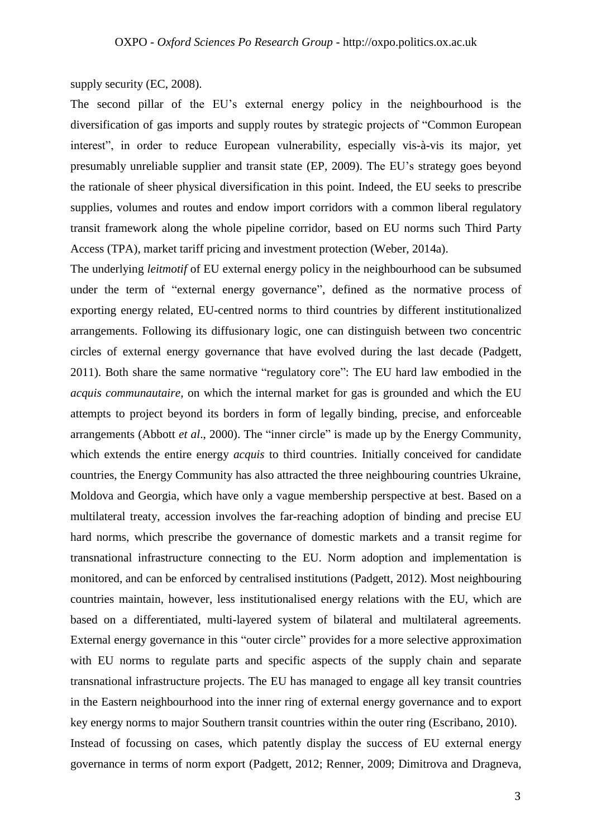#### supply security (EC, 2008).

The second pillar of the EU's external energy policy in the neighbourhood is the diversification of gas imports and supply routes by strategic projects of "Common European interest", in order to reduce European vulnerability, especially vis-à-vis its major, yet presumably unreliable supplier and transit state (EP, 2009). The EU's strategy goes beyond the rationale of sheer physical diversification in this point. Indeed, the EU seeks to prescribe supplies, volumes and routes and endow import corridors with a common liberal regulatory transit framework along the whole pipeline corridor, based on EU norms such Third Party Access (TPA), market tariff pricing and investment protection (Weber, 2014a).

The underlying *leitmotif* of EU external energy policy in the neighbourhood can be subsumed under the term of "external energy governance", defined as the normative process of exporting energy related, EU-centred norms to third countries by different institutionalized arrangements. Following its diffusionary logic, one can distinguish between two concentric circles of external energy governance that have evolved during the last decade (Padgett, 2011). Both share the same normative "regulatory core": The EU hard law embodied in the *acquis communautaire,* on which the internal market for gas is grounded and which the EU attempts to project beyond its borders in form of legally binding, precise, and enforceable arrangements (Abbott *et al*., 2000). The "inner circle" is made up by the Energy Community, which extends the entire energy *acquis* to third countries. Initially conceived for candidate countries, the Energy Community has also attracted the three neighbouring countries Ukraine, Moldova and Georgia, which have only a vague membership perspective at best. Based on a multilateral treaty, accession involves the far-reaching adoption of binding and precise EU hard norms, which prescribe the governance of domestic markets and a transit regime for transnational infrastructure connecting to the EU. Norm adoption and implementation is monitored, and can be enforced by centralised institutions (Padgett, 2012). Most neighbouring countries maintain, however, less institutionalised energy relations with the EU, which are based on a differentiated, multi-layered system of bilateral and multilateral agreements. External energy governance in this "outer circle" provides for a more selective approximation with EU norms to regulate parts and specific aspects of the supply chain and separate transnational infrastructure projects. The EU has managed to engage all key transit countries in the Eastern neighbourhood into the inner ring of external energy governance and to export key energy norms to major Southern transit countries within the outer ring (Escribano, 2010). Instead of focussing on cases, which patently display the success of EU external energy governance in terms of norm export (Padgett, 2012; Renner, 2009; Dimitrova and Dragneva,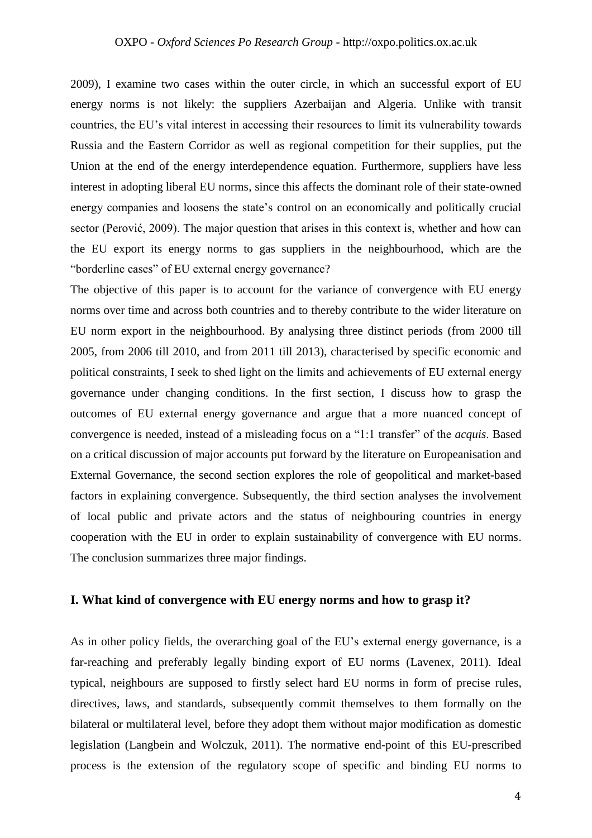2009), I examine two cases within the outer circle, in which an successful export of EU energy norms is not likely: the suppliers Azerbaijan and Algeria. Unlike with transit countries, the EU's vital interest in accessing their resources to limit its vulnerability towards Russia and the Eastern Corridor as well as regional competition for their supplies, put the Union at the end of the energy interdependence equation. Furthermore, suppliers have less interest in adopting liberal EU norms, since this affects the dominant role of their state-owned energy companies and loosens the state's control on an economically and politically crucial sector (Perović, 2009). The major question that arises in this context is, whether and how can the EU export its energy norms to gas suppliers in the neighbourhood, which are the "borderline cases" of EU external energy governance?

The objective of this paper is to account for the variance of convergence with EU energy norms over time and across both countries and to thereby contribute to the wider literature on EU norm export in the neighbourhood. By analysing three distinct periods (from 2000 till 2005, from 2006 till 2010, and from 2011 till 2013), characterised by specific economic and political constraints, I seek to shed light on the limits and achievements of EU external energy governance under changing conditions. In the first section, I discuss how to grasp the outcomes of EU external energy governance and argue that a more nuanced concept of convergence is needed, instead of a misleading focus on a "1:1 transfer" of the *acquis*. Based on a critical discussion of major accounts put forward by the literature on Europeanisation and External Governance, the second section explores the role of geopolitical and market-based factors in explaining convergence. Subsequently, the third section analyses the involvement of local public and private actors and the status of neighbouring countries in energy cooperation with the EU in order to explain sustainability of convergence with EU norms. The conclusion summarizes three major findings.

#### **I. What kind of convergence with EU energy norms and how to grasp it?**

As in other policy fields, the overarching goal of the EU's external energy governance, is a far-reaching and preferably legally binding export of EU norms (Lavenex, 2011). Ideal typical, neighbours are supposed to firstly select hard EU norms in form of precise rules, directives, laws, and standards, subsequently commit themselves to them formally on the bilateral or multilateral level, before they adopt them without major modification as domestic legislation (Langbein and Wolczuk, 2011). The normative end-point of this EU-prescribed process is the extension of the regulatory scope of specific and binding EU norms to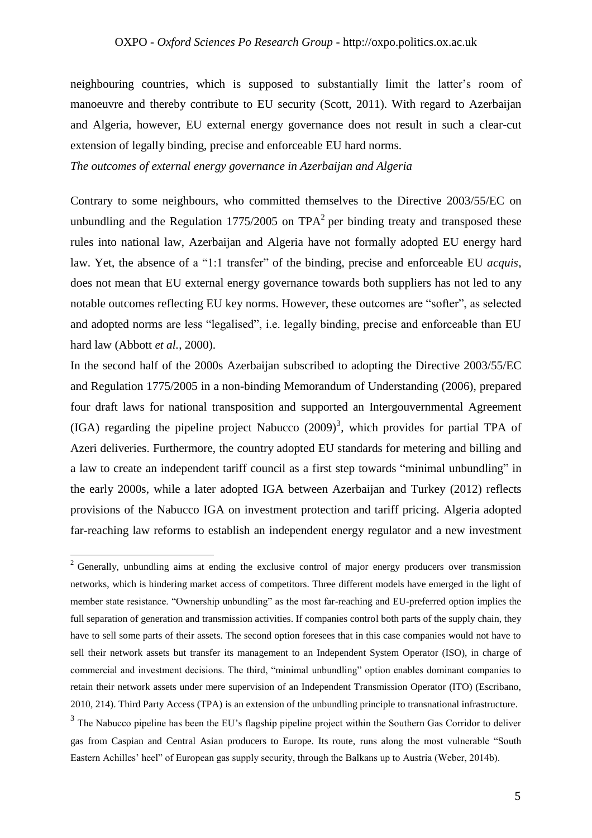neighbouring countries, which is supposed to substantially limit the latter's room of manoeuvre and thereby contribute to EU security (Scott, 2011). With regard to Azerbaijan and Algeria, however, EU external energy governance does not result in such a clear-cut extension of legally binding, precise and enforceable EU hard norms.

*The outcomes of external energy governance in Azerbaijan and Algeria*

Contrary to some neighbours, who committed themselves to the Directive 2003/55/EC on unbundling and the Regulation 1775/2005 on  $TPA<sup>2</sup>$  per binding treaty and transposed these rules into national law, Azerbaijan and Algeria have not formally adopted EU energy hard law. Yet, the absence of a "1:1 transfer" of the binding, precise and enforceable EU *acquis*, does not mean that EU external energy governance towards both suppliers has not led to any notable outcomes reflecting EU key norms. However, these outcomes are "softer", as selected and adopted norms are less "legalised", i.e. legally binding, precise and enforceable than EU hard law (Abbott *et al.*, 2000).

In the second half of the 2000s Azerbaijan subscribed to adopting the Directive 2003/55/EC and Regulation 1775/2005 in a non-binding Memorandum of Understanding (2006), prepared four draft laws for national transposition and supported an Intergouvernmental Agreement (IGA) regarding the pipeline project Nabucco  $(2009)^3$ , which provides for partial TPA of Azeri deliveries. Furthermore, the country adopted EU standards for metering and billing and a law to create an independent tariff council as a first step towards "minimal unbundling" in the early 2000s, while a later adopted IGA between Azerbaijan and Turkey (2012) reflects provisions of the Nabucco IGA on investment protection and tariff pricing. Algeria adopted far-reaching law reforms to establish an independent energy regulator and a new investment

 $\overline{a}$ 

 $2$  Generally, unbundling aims at ending the exclusive control of major energy producers over transmission networks, which is hindering market access of competitors. Three different models have emerged in the light of member state resistance. "Ownership unbundling" as the most far-reaching and EU-preferred option implies the full separation of generation and transmission activities. If companies control both parts of the supply chain, they have to sell some parts of their assets. The second option foresees that in this case companies would not have to sell their network assets but transfer its management to an Independent System Operator (ISO), in charge of commercial and investment decisions. The third, "minimal unbundling" option enables dominant companies to retain their network assets under mere supervision of an Independent Transmission Operator (ITO) (Escribano, 2010, 214). Third Party Access (TPA) is an extension of the unbundling principle to transnational infrastructure.

<sup>&</sup>lt;sup>3</sup> The Nabucco pipeline has been the EU's flagship pipeline project within the Southern Gas Corridor to deliver gas from Caspian and Central Asian producers to Europe. Its route, runs along the most vulnerable "South Eastern Achilles' heel" of European gas supply security, through the Balkans up to Austria (Weber, 2014b).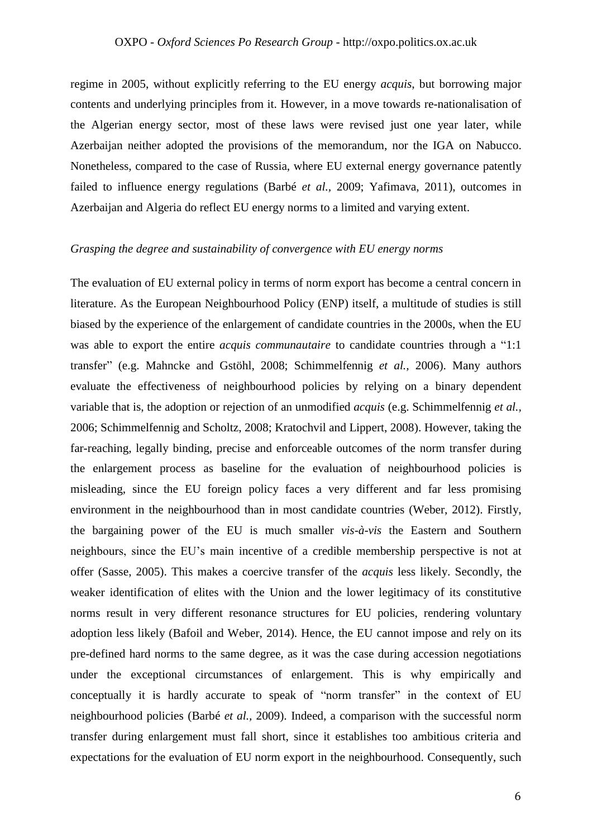regime in 2005, without explicitly referring to the EU energy *acquis*, but borrowing major contents and underlying principles from it. However, in a move towards re-nationalisation of the Algerian energy sector, most of these laws were revised just one year later, while Azerbaijan neither adopted the provisions of the memorandum, nor the IGA on Nabucco. Nonetheless, compared to the case of Russia, where EU external energy governance patently failed to influence energy regulations (Barbé *et al.,* 2009; Yafimava, 2011), outcomes in Azerbaijan and Algeria do reflect EU energy norms to a limited and varying extent.

#### *Grasping the degree and sustainability of convergence with EU energy norms*

The evaluation of EU external policy in terms of norm export has become a central concern in literature. As the European Neighbourhood Policy (ENP) itself, a multitude of studies is still biased by the experience of the enlargement of candidate countries in the 2000s, when the EU was able to export the entire *acquis communautaire* to candidate countries through a "1:1 transfer" (e.g. Mahncke and Gstöhl, 2008; Schimmelfennig *et al.,* 2006). Many authors evaluate the effectiveness of neighbourhood policies by relying on a binary dependent variable that is, the adoption or rejection of an unmodified *acquis* (e.g. Schimmelfennig *et al.,* 2006; Schimmelfennig and Scholtz, 2008; Kratochvil and Lippert, 2008). However, taking the far-reaching, legally binding, precise and enforceable outcomes of the norm transfer during the enlargement process as baseline for the evaluation of neighbourhood policies is misleading, since the EU foreign policy faces a very different and far less promising environment in the neighbourhood than in most candidate countries (Weber, 2012). Firstly, the bargaining power of the EU is much smaller *vis-à-vis* the Eastern and Southern neighbours, since the EU's main incentive of a credible membership perspective is not at offer (Sasse, 2005). This makes a coercive transfer of the *acquis* less likely. Secondly, the weaker identification of elites with the Union and the lower legitimacy of its constitutive norms result in very different resonance structures for EU policies, rendering voluntary adoption less likely (Bafoil and Weber, 2014). Hence, the EU cannot impose and rely on its pre-defined hard norms to the same degree, as it was the case during accession negotiations under the exceptional circumstances of enlargement. This is why empirically and conceptually it is hardly accurate to speak of "norm transfer" in the context of EU neighbourhood policies (Barbé *et al.,* 2009). Indeed, a comparison with the successful norm transfer during enlargement must fall short, since it establishes too ambitious criteria and expectations for the evaluation of EU norm export in the neighbourhood. Consequently, such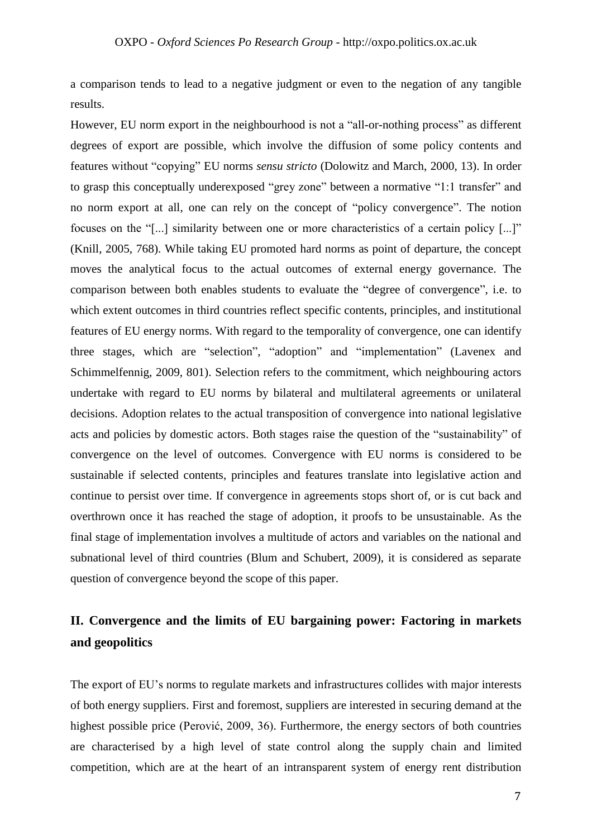a comparison tends to lead to a negative judgment or even to the negation of any tangible results.

However, EU norm export in the neighbourhood is not a "all-or-nothing process" as different degrees of export are possible, which involve the diffusion of some policy contents and features without "copying" EU norms *sensu stricto* (Dolowitz and March, 2000, 13). In order to grasp this conceptually underexposed "grey zone" between a normative "1:1 transfer" and no norm export at all, one can rely on the concept of "policy convergence". The notion focuses on the "[...] similarity between one or more characteristics of a certain policy [...]" (Knill, 2005, 768). While taking EU promoted hard norms as point of departure, the concept moves the analytical focus to the actual outcomes of external energy governance. The comparison between both enables students to evaluate the "degree of convergence", i.e. to which extent outcomes in third countries reflect specific contents, principles, and institutional features of EU energy norms. With regard to the temporality of convergence, one can identify three stages, which are "selection", "adoption" and "implementation" (Lavenex and Schimmelfennig, 2009, 801). Selection refers to the commitment, which neighbouring actors undertake with regard to EU norms by bilateral and multilateral agreements or unilateral decisions. Adoption relates to the actual transposition of convergence into national legislative acts and policies by domestic actors. Both stages raise the question of the "sustainability" of convergence on the level of outcomes*.* Convergence with EU norms is considered to be sustainable if selected contents, principles and features translate into legislative action and continue to persist over time. If convergence in agreements stops short of, or is cut back and overthrown once it has reached the stage of adoption, it proofs to be unsustainable. As the final stage of implementation involves a multitude of actors and variables on the national and subnational level of third countries (Blum and Schubert, 2009), it is considered as separate question of convergence beyond the scope of this paper.

## **II. Convergence and the limits of EU bargaining power: Factoring in markets and geopolitics**

The export of EU's norms to regulate markets and infrastructures collides with major interests of both energy suppliers. First and foremost, suppliers are interested in securing demand at the highest possible price (Perović, 2009, 36). Furthermore, the energy sectors of both countries are characterised by a high level of state control along the supply chain and limited competition, which are at the heart of an intransparent system of energy rent distribution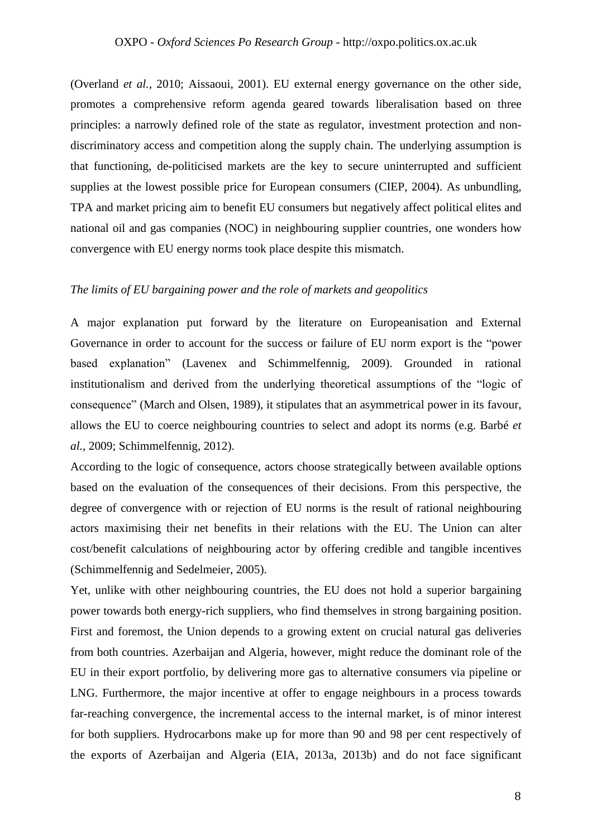(Overland *et al.*, 2010; Aissaoui, 2001). EU external energy governance on the other side, promotes a comprehensive reform agenda geared towards liberalisation based on three principles: a narrowly defined role of the state as regulator, investment protection and nondiscriminatory access and competition along the supply chain. The underlying assumption is that functioning, de-politicised markets are the key to secure uninterrupted and sufficient supplies at the lowest possible price for European consumers (CIEP, 2004). As unbundling, TPA and market pricing aim to benefit EU consumers but negatively affect political elites and national oil and gas companies (NOC) in neighbouring supplier countries, one wonders how convergence with EU energy norms took place despite this mismatch.

#### *The limits of EU bargaining power and the role of markets and geopolitics*

A major explanation put forward by the literature on Europeanisation and External Governance in order to account for the success or failure of EU norm export is the "power based explanation" (Lavenex and Schimmelfennig, 2009). Grounded in rational institutionalism and derived from the underlying theoretical assumptions of the "logic of consequence" (March and Olsen, 1989), it stipulates that an asymmetrical power in its favour, allows the EU to coerce neighbouring countries to select and adopt its norms (e.g. Barbé *et al.*, 2009; Schimmelfennig, 2012).

According to the logic of consequence, actors choose strategically between available options based on the evaluation of the consequences of their decisions. From this perspective, the degree of convergence with or rejection of EU norms is the result of rational neighbouring actors maximising their net benefits in their relations with the EU. The Union can alter cost/benefit calculations of neighbouring actor by offering credible and tangible incentives (Schimmelfennig and Sedelmeier, 2005).

Yet, unlike with other neighbouring countries, the EU does not hold a superior bargaining power towards both energy-rich suppliers, who find themselves in strong bargaining position. First and foremost, the Union depends to a growing extent on crucial natural gas deliveries from both countries. Azerbaijan and Algeria, however, might reduce the dominant role of the EU in their export portfolio, by delivering more gas to alternative consumers via pipeline or LNG. Furthermore, the major incentive at offer to engage neighbours in a process towards far-reaching convergence, the incremental access to the internal market, is of minor interest for both suppliers. Hydrocarbons make up for more than 90 and 98 per cent respectively of the exports of Azerbaijan and Algeria (EIA, 2013a, 2013b) and do not face significant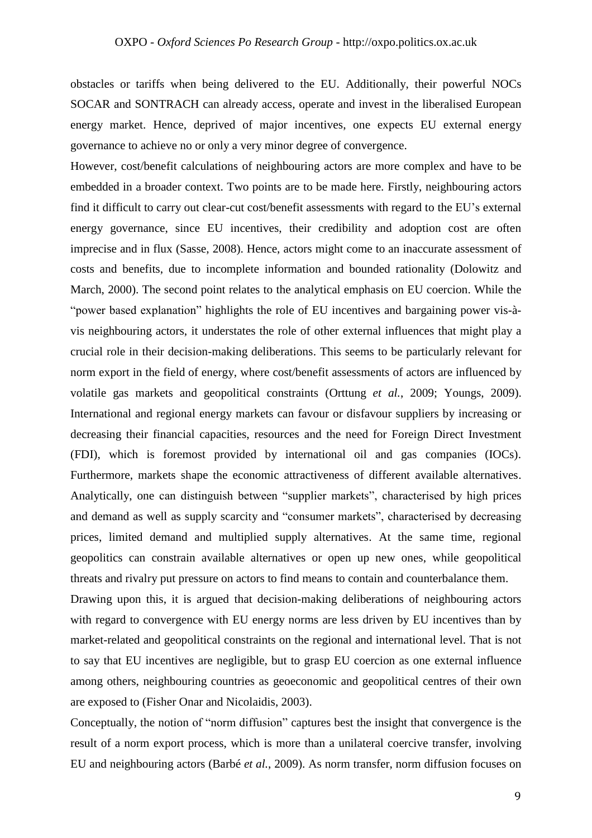obstacles or tariffs when being delivered to the EU. Additionally, their powerful NOCs SOCAR and SONTRACH can already access, operate and invest in the liberalised European energy market. Hence, deprived of major incentives, one expects EU external energy governance to achieve no or only a very minor degree of convergence.

However, cost/benefit calculations of neighbouring actors are more complex and have to be embedded in a broader context. Two points are to be made here. Firstly, neighbouring actors find it difficult to carry out clear-cut cost/benefit assessments with regard to the EU's external energy governance, since EU incentives, their credibility and adoption cost are often imprecise and in flux (Sasse, 2008). Hence, actors might come to an inaccurate assessment of costs and benefits, due to incomplete information and bounded rationality (Dolowitz and March, 2000). The second point relates to the analytical emphasis on EU coercion. While the "power based explanation" highlights the role of EU incentives and bargaining power vis-àvis neighbouring actors, it understates the role of other external influences that might play a crucial role in their decision-making deliberations. This seems to be particularly relevant for norm export in the field of energy, where cost/benefit assessments of actors are influenced by volatile gas markets and geopolitical constraints (Orttung *et al.*, 2009; Youngs, 2009). International and regional energy markets can favour or disfavour suppliers by increasing or decreasing their financial capacities, resources and the need for Foreign Direct Investment (FDI), which is foremost provided by international oil and gas companies (IOCs). Furthermore, markets shape the economic attractiveness of different available alternatives. Analytically, one can distinguish between "supplier markets", characterised by high prices and demand as well as supply scarcity and "consumer markets", characterised by decreasing prices, limited demand and multiplied supply alternatives. At the same time, regional geopolitics can constrain available alternatives or open up new ones, while geopolitical threats and rivalry put pressure on actors to find means to contain and counterbalance them.

Drawing upon this, it is argued that decision-making deliberations of neighbouring actors with regard to convergence with EU energy norms are less driven by EU incentives than by market-related and geopolitical constraints on the regional and international level. That is not to say that EU incentives are negligible, but to grasp EU coercion as one external influence among others, neighbouring countries as geoeconomic and geopolitical centres of their own are exposed to (Fisher Onar and Nicolaidis, 2003).

Conceptually, the notion of "norm diffusion" captures best the insight that convergence is the result of a norm export process, which is more than a unilateral coercive transfer, involving EU and neighbouring actors (Barbé *et al.*, 2009). As norm transfer, norm diffusion focuses on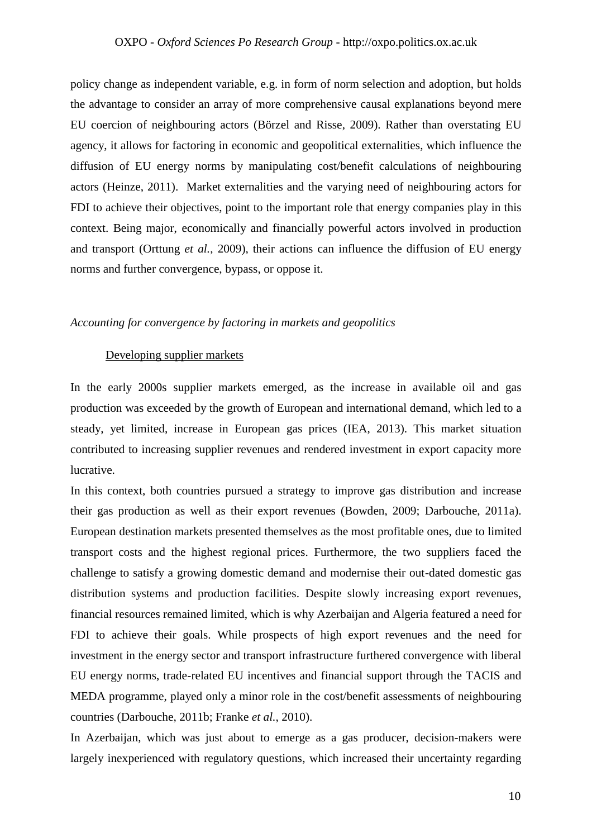#### OXPO - *Oxford Sciences Po Research Group* - http://oxpo.politics.ox.ac.uk

policy change as independent variable, e.g. in form of norm selection and adoption, but holds the advantage to consider an array of more comprehensive causal explanations beyond mere EU coercion of neighbouring actors (Börzel and Risse, 2009). Rather than overstating EU agency, it allows for factoring in economic and geopolitical externalities, which influence the diffusion of EU energy norms by manipulating cost/benefit calculations of neighbouring actors (Heinze, 2011). Market externalities and the varying need of neighbouring actors for FDI to achieve their objectives, point to the important role that energy companies play in this context. Being major, economically and financially powerful actors involved in production and transport (Orttung *et al.*, 2009), their actions can influence the diffusion of EU energy norms and further convergence, bypass, or oppose it.

#### *Accounting for convergence by factoring in markets and geopolitics*

#### Developing supplier markets

In the early 2000s supplier markets emerged, as the increase in available oil and gas production was exceeded by the growth of European and international demand, which led to a steady, yet limited, increase in European gas prices (IEA, 2013). This market situation contributed to increasing supplier revenues and rendered investment in export capacity more lucrative.

In this context, both countries pursued a strategy to improve gas distribution and increase their gas production as well as their export revenues (Bowden, 2009; Darbouche, 2011a). European destination markets presented themselves as the most profitable ones, due to limited transport costs and the highest regional prices. Furthermore, the two suppliers faced the challenge to satisfy a growing domestic demand and modernise their out-dated domestic gas distribution systems and production facilities. Despite slowly increasing export revenues, financial resources remained limited, which is why Azerbaijan and Algeria featured a need for FDI to achieve their goals. While prospects of high export revenues and the need for investment in the energy sector and transport infrastructure furthered convergence with liberal EU energy norms, trade-related EU incentives and financial support through the TACIS and MEDA programme, played only a minor role in the cost/benefit assessments of neighbouring countries (Darbouche, 2011b; Franke *et al.*, 2010).

In Azerbaijan, which was just about to emerge as a gas producer, decision-makers were largely inexperienced with regulatory questions, which increased their uncertainty regarding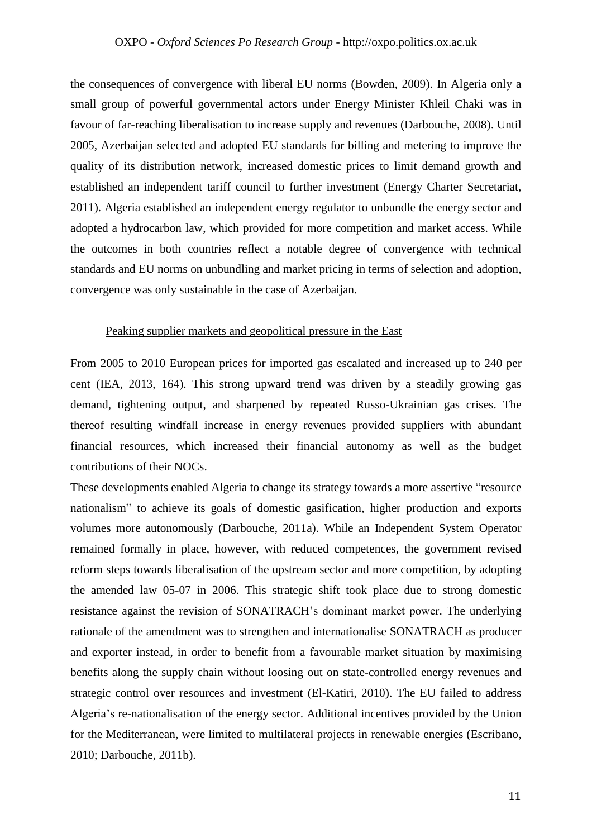the consequences of convergence with liberal EU norms (Bowden, 2009). In Algeria only a small group of powerful governmental actors under Energy Minister Khleil Chaki was in favour of far-reaching liberalisation to increase supply and revenues (Darbouche, 2008). Until 2005, Azerbaijan selected and adopted EU standards for billing and metering to improve the quality of its distribution network, increased domestic prices to limit demand growth and established an independent tariff council to further investment (Energy Charter Secretariat, 2011). Algeria established an independent energy regulator to unbundle the energy sector and adopted a hydrocarbon law, which provided for more competition and market access. While the outcomes in both countries reflect a notable degree of convergence with technical standards and EU norms on unbundling and market pricing in terms of selection and adoption, convergence was only sustainable in the case of Azerbaijan.

#### Peaking supplier markets and geopolitical pressure in the East

From 2005 to 2010 European prices for imported gas escalated and increased up to 240 per cent (IEA, 2013, 164). This strong upward trend was driven by a steadily growing gas demand, tightening output, and sharpened by repeated Russo-Ukrainian gas crises. The thereof resulting windfall increase in energy revenues provided suppliers with abundant financial resources, which increased their financial autonomy as well as the budget contributions of their NOCs.

These developments enabled Algeria to change its strategy towards a more assertive "resource nationalism" to achieve its goals of domestic gasification, higher production and exports volumes more autonomously (Darbouche, 2011a). While an Independent System Operator remained formally in place, however, with reduced competences, the government revised reform steps towards liberalisation of the upstream sector and more competition, by adopting the amended law 05-07 in 2006. This strategic shift took place due to strong domestic resistance against the revision of SONATRACH's dominant market power. The underlying rationale of the amendment was to strengthen and internationalise SONATRACH as producer and exporter instead, in order to benefit from a favourable market situation by maximising benefits along the supply chain without loosing out on state-controlled energy revenues and strategic control over resources and investment (El-Katiri, 2010). The EU failed to address Algeria's re-nationalisation of the energy sector. Additional incentives provided by the Union for the Mediterranean, were limited to multilateral projects in renewable energies (Escribano, 2010; Darbouche, 2011b).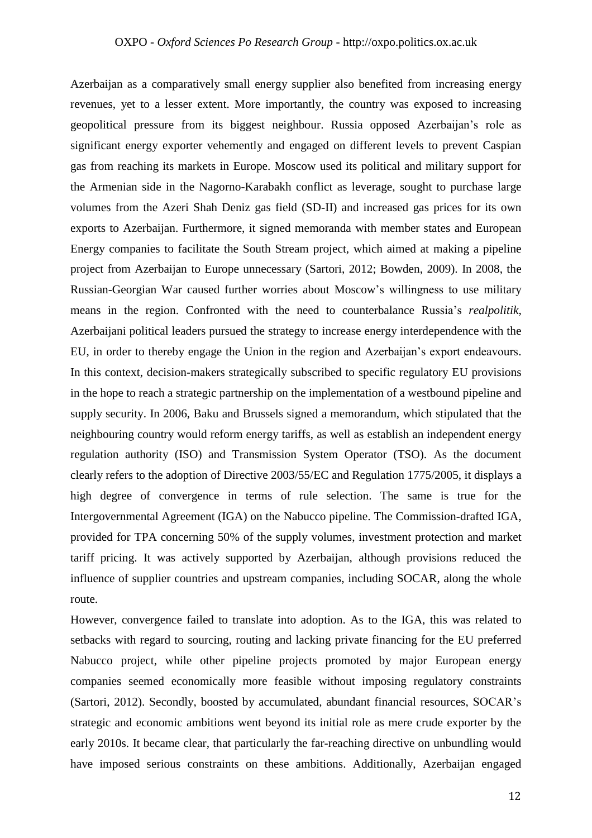Azerbaijan as a comparatively small energy supplier also benefited from increasing energy revenues, yet to a lesser extent. More importantly, the country was exposed to increasing geopolitical pressure from its biggest neighbour. Russia opposed Azerbaijan's role as significant energy exporter vehemently and engaged on different levels to prevent Caspian gas from reaching its markets in Europe. Moscow used its political and military support for the Armenian side in the Nagorno-Karabakh conflict as leverage, sought to purchase large volumes from the Azeri Shah Deniz gas field (SD-II) and increased gas prices for its own exports to Azerbaijan. Furthermore, it signed memoranda with member states and European Energy companies to facilitate the South Stream project, which aimed at making a pipeline project from Azerbaijan to Europe unnecessary (Sartori, 2012; Bowden, 2009). In 2008, the Russian-Georgian War caused further worries about Moscow's willingness to use military means in the region. Confronted with the need to counterbalance Russia's *realpolitik*, Azerbaijani political leaders pursued the strategy to increase energy interdependence with the EU, in order to thereby engage the Union in the region and Azerbaijan's export endeavours. In this context, decision-makers strategically subscribed to specific regulatory EU provisions in the hope to reach a strategic partnership on the implementation of a westbound pipeline and supply security. In 2006, Baku and Brussels signed a memorandum, which stipulated that the neighbouring country would reform energy tariffs, as well as establish an independent energy regulation authority (ISO) and Transmission System Operator (TSO). As the document clearly refers to the adoption of Directive 2003/55/EC and Regulation 1775/2005, it displays a high degree of convergence in terms of rule selection. The same is true for the Intergovernmental Agreement (IGA) on the Nabucco pipeline. The Commission-drafted IGA, provided for TPA concerning 50% of the supply volumes, investment protection and market tariff pricing. It was actively supported by Azerbaijan, although provisions reduced the influence of supplier countries and upstream companies, including SOCAR, along the whole route.

However, convergence failed to translate into adoption. As to the IGA, this was related to setbacks with regard to sourcing, routing and lacking private financing for the EU preferred Nabucco project, while other pipeline projects promoted by major European energy companies seemed economically more feasible without imposing regulatory constraints (Sartori, 2012). Secondly, boosted by accumulated, abundant financial resources, SOCAR's strategic and economic ambitions went beyond its initial role as mere crude exporter by the early 2010s. It became clear, that particularly the far-reaching directive on unbundling would have imposed serious constraints on these ambitions. Additionally, Azerbaijan engaged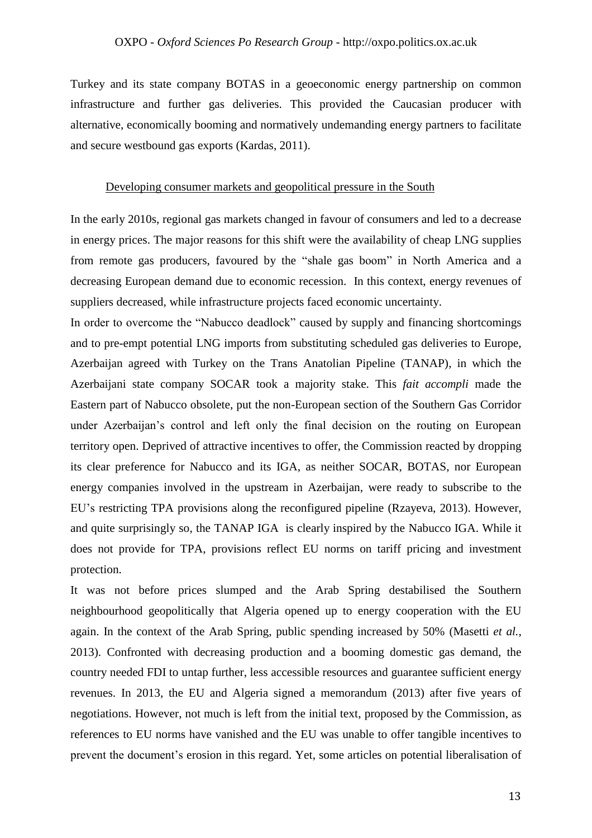Turkey and its state company BOTAS in a geoeconomic energy partnership on common infrastructure and further gas deliveries. This provided the Caucasian producer with alternative, economically booming and normatively undemanding energy partners to facilitate and secure westbound gas exports (Kardas, 2011).

#### Developing consumer markets and geopolitical pressure in the South

In the early 2010s, regional gas markets changed in favour of consumers and led to a decrease in energy prices. The major reasons for this shift were the availability of cheap LNG supplies from remote gas producers, favoured by the "shale gas boom" in North America and a decreasing European demand due to economic recession. In this context, energy revenues of suppliers decreased, while infrastructure projects faced economic uncertainty.

In order to overcome the "Nabucco deadlock" caused by supply and financing shortcomings and to pre-empt potential LNG imports from substituting scheduled gas deliveries to Europe, Azerbaijan agreed with Turkey on the Trans Anatolian Pipeline (TANAP), in which the Azerbaijani state company SOCAR took a majority stake. This *fait accompli* made the Eastern part of Nabucco obsolete, put the non-European section of the Southern Gas Corridor under Azerbaijan's control and left only the final decision on the routing on European territory open. Deprived of attractive incentives to offer, the Commission reacted by dropping its clear preference for Nabucco and its IGA, as neither SOCAR, BOTAS, nor European energy companies involved in the upstream in Azerbaijan, were ready to subscribe to the EU's restricting TPA provisions along the reconfigured pipeline (Rzayeva, 2013). However, and quite surprisingly so, the TANAP IGA is clearly inspired by the Nabucco IGA. While it does not provide for TPA, provisions reflect EU norms on tariff pricing and investment protection.

It was not before prices slumped and the Arab Spring destabilised the Southern neighbourhood geopolitically that Algeria opened up to energy cooperation with the EU again. In the context of the Arab Spring, public spending increased by 50% (Masetti *et al.*, 2013). Confronted with decreasing production and a booming domestic gas demand, the country needed FDI to untap further, less accessible resources and guarantee sufficient energy revenues. In 2013, the EU and Algeria signed a memorandum (2013) after five years of negotiations. However, not much is left from the initial text, proposed by the Commission, as references to EU norms have vanished and the EU was unable to offer tangible incentives to prevent the document's erosion in this regard. Yet, some articles on potential liberalisation of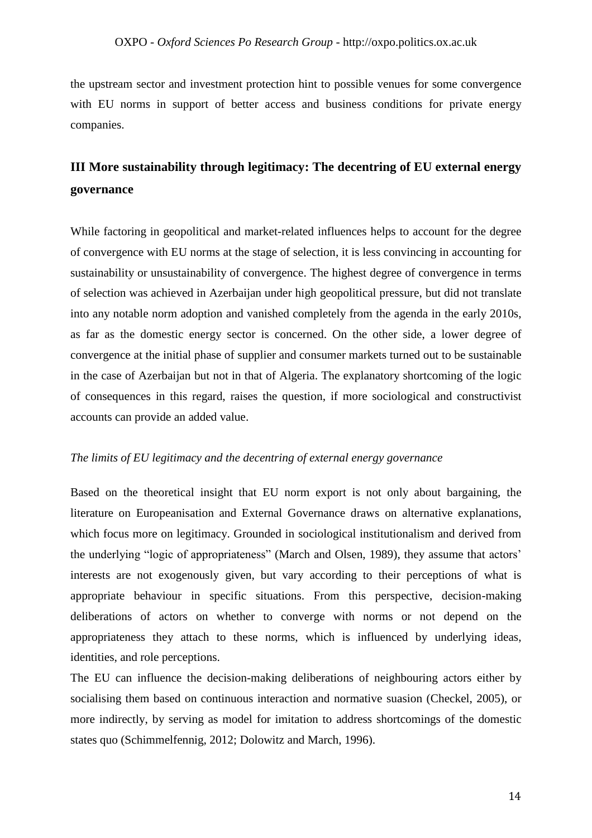the upstream sector and investment protection hint to possible venues for some convergence with EU norms in support of better access and business conditions for private energy companies.

## **III More sustainability through legitimacy: The decentring of EU external energy governance**

While factoring in geopolitical and market-related influences helps to account for the degree of convergence with EU norms at the stage of selection, it is less convincing in accounting for sustainability or unsustainability of convergence. The highest degree of convergence in terms of selection was achieved in Azerbaijan under high geopolitical pressure, but did not translate into any notable norm adoption and vanished completely from the agenda in the early 2010s, as far as the domestic energy sector is concerned. On the other side, a lower degree of convergence at the initial phase of supplier and consumer markets turned out to be sustainable in the case of Azerbaijan but not in that of Algeria. The explanatory shortcoming of the logic of consequences in this regard, raises the question, if more sociological and constructivist accounts can provide an added value.

#### *The limits of EU legitimacy and the decentring of external energy governance*

Based on the theoretical insight that EU norm export is not only about bargaining, the literature on Europeanisation and External Governance draws on alternative explanations, which focus more on legitimacy. Grounded in sociological institutionalism and derived from the underlying "logic of appropriateness" (March and Olsen, 1989), they assume that actors' interests are not exogenously given, but vary according to their perceptions of what is appropriate behaviour in specific situations. From this perspective, decision-making deliberations of actors on whether to converge with norms or not depend on the appropriateness they attach to these norms, which is influenced by underlying ideas, identities, and role perceptions.

The EU can influence the decision-making deliberations of neighbouring actors either by socialising them based on continuous interaction and normative suasion (Checkel, 2005), or more indirectly, by serving as model for imitation to address shortcomings of the domestic states quo (Schimmelfennig, 2012; Dolowitz and March, 1996).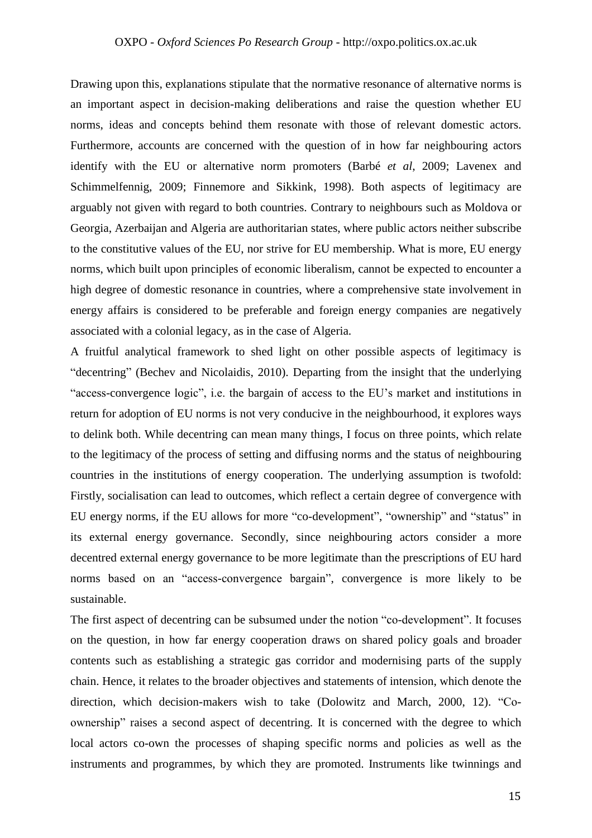Drawing upon this, explanations stipulate that the normative resonance of alternative norms is an important aspect in decision-making deliberations and raise the question whether EU norms, ideas and concepts behind them resonate with those of relevant domestic actors. Furthermore, accounts are concerned with the question of in how far neighbouring actors identify with the EU or alternative norm promoters (Barbé *et al*, 2009; Lavenex and Schimmelfennig, 2009; Finnemore and Sikkink, 1998). Both aspects of legitimacy are arguably not given with regard to both countries. Contrary to neighbours such as Moldova or Georgia, Azerbaijan and Algeria are authoritarian states, where public actors neither subscribe to the constitutive values of the EU, nor strive for EU membership. What is more, EU energy norms, which built upon principles of economic liberalism, cannot be expected to encounter a high degree of domestic resonance in countries, where a comprehensive state involvement in energy affairs is considered to be preferable and foreign energy companies are negatively associated with a colonial legacy, as in the case of Algeria.

A fruitful analytical framework to shed light on other possible aspects of legitimacy is "decentring" (Bechev and Nicolaidis, 2010). Departing from the insight that the underlying "access-convergence logic", i.e. the bargain of access to the EU's market and institutions in return for adoption of EU norms is not very conducive in the neighbourhood, it explores ways to delink both. While decentring can mean many things, I focus on three points, which relate to the legitimacy of the process of setting and diffusing norms and the status of neighbouring countries in the institutions of energy cooperation. The underlying assumption is twofold: Firstly, socialisation can lead to outcomes, which reflect a certain degree of convergence with EU energy norms, if the EU allows for more "co-development", "ownership" and "status" in its external energy governance. Secondly, since neighbouring actors consider a more decentred external energy governance to be more legitimate than the prescriptions of EU hard norms based on an "access-convergence bargain", convergence is more likely to be sustainable.

The first aspect of decentring can be subsumed under the notion "co-development". It focuses on the question, in how far energy cooperation draws on shared policy goals and broader contents such as establishing a strategic gas corridor and modernising parts of the supply chain. Hence, it relates to the broader objectives and statements of intension, which denote the direction, which decision-makers wish to take (Dolowitz and March, 2000, 12). "Coownership" raises a second aspect of decentring. It is concerned with the degree to which local actors co-own the processes of shaping specific norms and policies as well as the instruments and programmes, by which they are promoted. Instruments like twinnings and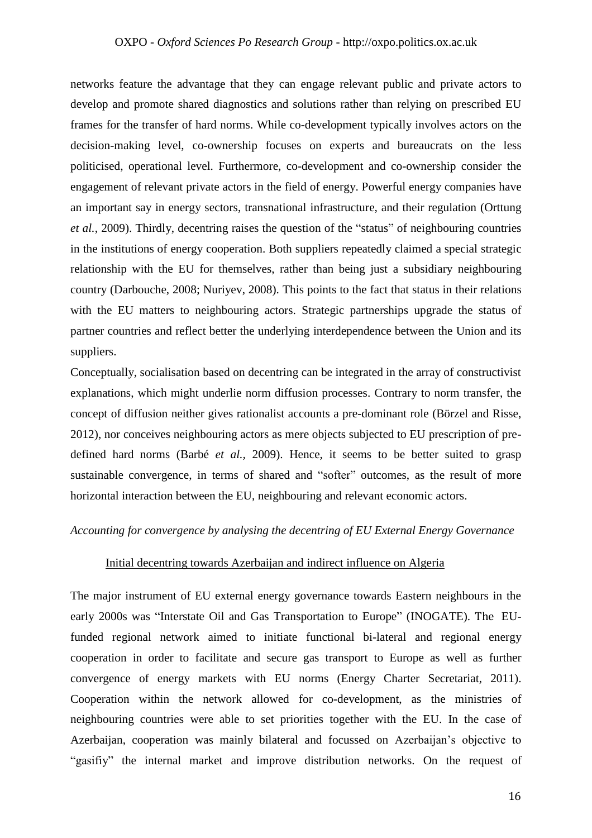networks feature the advantage that they can engage relevant public and private actors to develop and promote shared diagnostics and solutions rather than relying on prescribed EU frames for the transfer of hard norms. While co-development typically involves actors on the decision-making level, co-ownership focuses on experts and bureaucrats on the less politicised, operational level. Furthermore, co-development and co-ownership consider the engagement of relevant private actors in the field of energy. Powerful energy companies have an important say in energy sectors, transnational infrastructure, and their regulation (Orttung *et al.*, 2009). Thirdly, decentring raises the question of the "status" of neighbouring countries in the institutions of energy cooperation. Both suppliers repeatedly claimed a special strategic relationship with the EU for themselves, rather than being just a subsidiary neighbouring country (Darbouche, 2008; Nuriyev, 2008). This points to the fact that status in their relations with the EU matters to neighbouring actors. Strategic partnerships upgrade the status of partner countries and reflect better the underlying interdependence between the Union and its suppliers.

Conceptually, socialisation based on decentring can be integrated in the array of constructivist explanations, which might underlie norm diffusion processes. Contrary to norm transfer, the concept of diffusion neither gives rationalist accounts a pre-dominant role (Börzel and Risse, 2012), nor conceives neighbouring actors as mere objects subjected to EU prescription of predefined hard norms (Barbé *et al.,* 2009). Hence, it seems to be better suited to grasp sustainable convergence, in terms of shared and "softer" outcomes, as the result of more horizontal interaction between the EU, neighbouring and relevant economic actors.

#### *Accounting for convergence by analysing the decentring of EU External Energy Governance*

#### Initial decentring towards Azerbaijan and indirect influence on Algeria

The major instrument of EU external energy governance towards Eastern neighbours in the early 2000s was "Interstate Oil and Gas Transportation to Europe" (INOGATE). The EUfunded regional network aimed to initiate functional bi-lateral and regional energy cooperation in order to facilitate and secure gas transport to Europe as well as further convergence of energy markets with EU norms (Energy Charter Secretariat, 2011). Cooperation within the network allowed for co-development, as the ministries of neighbouring countries were able to set priorities together with the EU. In the case of Azerbaijan, cooperation was mainly bilateral and focussed on Azerbaijan's objective to "gasifiy" the internal market and improve distribution networks. On the request of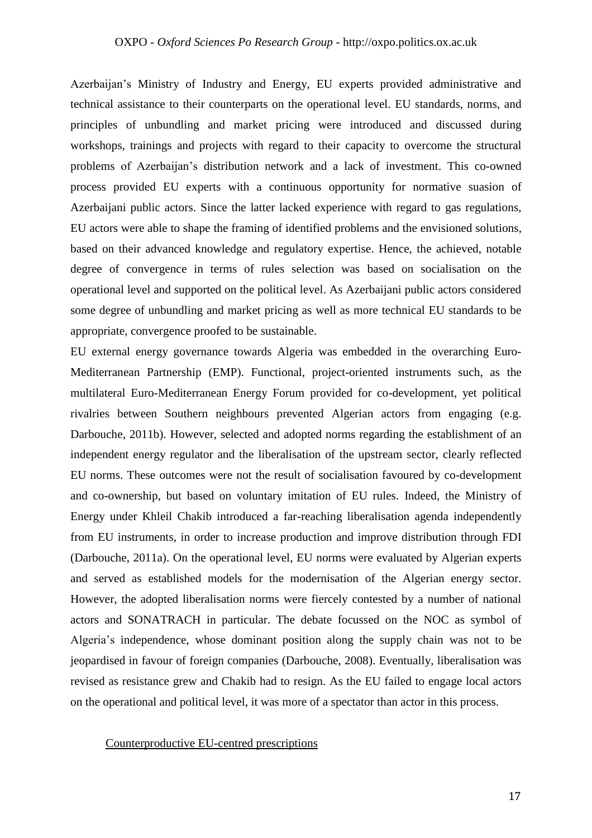Azerbaijan's Ministry of Industry and Energy, EU experts provided administrative and technical assistance to their counterparts on the operational level. EU standards, norms, and principles of unbundling and market pricing were introduced and discussed during workshops, trainings and projects with regard to their capacity to overcome the structural problems of Azerbaijan's distribution network and a lack of investment. This co-owned process provided EU experts with a continuous opportunity for normative suasion of Azerbaijani public actors. Since the latter lacked experience with regard to gas regulations, EU actors were able to shape the framing of identified problems and the envisioned solutions, based on their advanced knowledge and regulatory expertise. Hence, the achieved, notable degree of convergence in terms of rules selection was based on socialisation on the operational level and supported on the political level. As Azerbaijani public actors considered some degree of unbundling and market pricing as well as more technical EU standards to be appropriate, convergence proofed to be sustainable.

EU external energy governance towards Algeria was embedded in the overarching Euro-Mediterranean Partnership (EMP). Functional, project-oriented instruments such, as the multilateral Euro-Mediterranean Energy Forum provided for co-development, yet political rivalries between Southern neighbours prevented Algerian actors from engaging (e.g. Darbouche, 2011b). However, selected and adopted norms regarding the establishment of an independent energy regulator and the liberalisation of the upstream sector, clearly reflected EU norms. These outcomes were not the result of socialisation favoured by co-development and co-ownership, but based on voluntary imitation of EU rules. Indeed, the Ministry of Energy under Khleil Chakib introduced a far-reaching liberalisation agenda independently from EU instruments, in order to increase production and improve distribution through FDI (Darbouche, 2011a). On the operational level, EU norms were evaluated by Algerian experts and served as established models for the modernisation of the Algerian energy sector. However, the adopted liberalisation norms were fiercely contested by a number of national actors and SONATRACH in particular. The debate focussed on the NOC as symbol of Algeria's independence, whose dominant position along the supply chain was not to be jeopardised in favour of foreign companies (Darbouche, 2008). Eventually, liberalisation was revised as resistance grew and Chakib had to resign. As the EU failed to engage local actors on the operational and political level, it was more of a spectator than actor in this process.

#### Counterproductive EU-centred prescriptions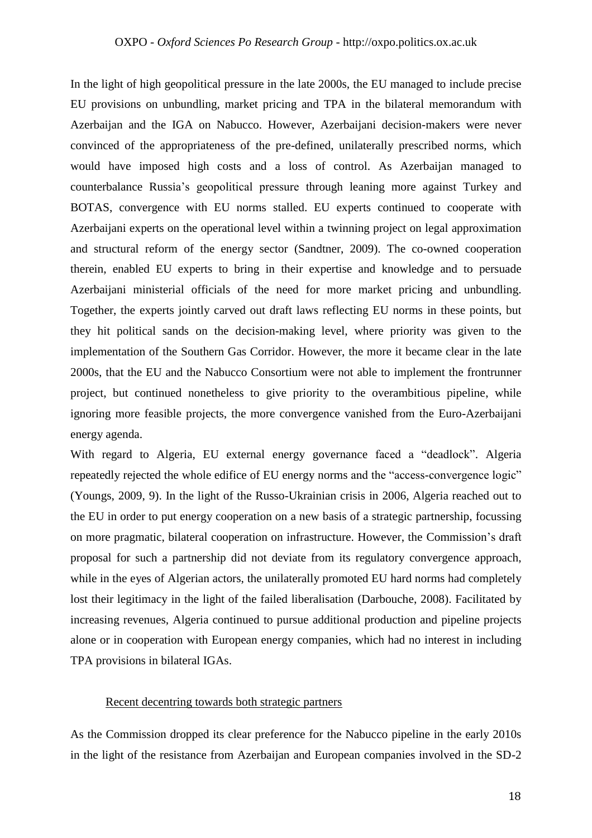In the light of high geopolitical pressure in the late 2000s, the EU managed to include precise EU provisions on unbundling, market pricing and TPA in the bilateral memorandum with Azerbaijan and the IGA on Nabucco. However, Azerbaijani decision-makers were never convinced of the appropriateness of the pre-defined, unilaterally prescribed norms, which would have imposed high costs and a loss of control. As Azerbaijan managed to counterbalance Russia's geopolitical pressure through leaning more against Turkey and BOTAS, convergence with EU norms stalled. EU experts continued to cooperate with Azerbaijani experts on the operational level within a twinning project on legal approximation and structural reform of the energy sector (Sandtner, 2009). The co-owned cooperation therein, enabled EU experts to bring in their expertise and knowledge and to persuade Azerbaijani ministerial officials of the need for more market pricing and unbundling. Together, the experts jointly carved out draft laws reflecting EU norms in these points, but they hit political sands on the decision-making level, where priority was given to the implementation of the Southern Gas Corridor. However, the more it became clear in the late 2000s, that the EU and the Nabucco Consortium were not able to implement the frontrunner project, but continued nonetheless to give priority to the overambitious pipeline, while ignoring more feasible projects, the more convergence vanished from the Euro-Azerbaijani energy agenda.

With regard to Algeria, EU external energy governance faced a "deadlock". Algeria repeatedly rejected the whole edifice of EU energy norms and the "access-convergence logic" (Youngs, 2009, 9). In the light of the Russo-Ukrainian crisis in 2006, Algeria reached out to the EU in order to put energy cooperation on a new basis of a strategic partnership, focussing on more pragmatic, bilateral cooperation on infrastructure. However, the Commission's draft proposal for such a partnership did not deviate from its regulatory convergence approach, while in the eyes of Algerian actors, the unilaterally promoted EU hard norms had completely lost their legitimacy in the light of the failed liberalisation (Darbouche, 2008). Facilitated by increasing revenues, Algeria continued to pursue additional production and pipeline projects alone or in cooperation with European energy companies, which had no interest in including TPA provisions in bilateral IGAs.

### Recent decentring towards both strategic partners

As the Commission dropped its clear preference for the Nabucco pipeline in the early 2010s in the light of the resistance from Azerbaijan and European companies involved in the SD-2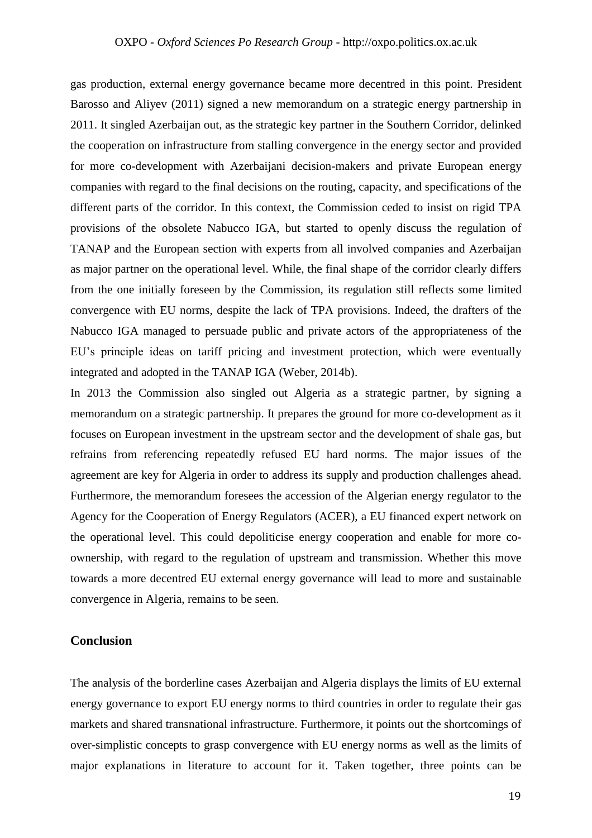gas production, external energy governance became more decentred in this point. President Barosso and Aliyev (2011) signed a new memorandum on a strategic energy partnership in 2011. It singled Azerbaijan out, as the strategic key partner in the Southern Corridor, delinked the cooperation on infrastructure from stalling convergence in the energy sector and provided for more co-development with Azerbaijani decision-makers and private European energy companies with regard to the final decisions on the routing, capacity, and specifications of the different parts of the corridor. In this context, the Commission ceded to insist on rigid TPA provisions of the obsolete Nabucco IGA, but started to openly discuss the regulation of TANAP and the European section with experts from all involved companies and Azerbaijan as major partner on the operational level. While, the final shape of the corridor clearly differs from the one initially foreseen by the Commission, its regulation still reflects some limited convergence with EU norms, despite the lack of TPA provisions. Indeed, the drafters of the Nabucco IGA managed to persuade public and private actors of the appropriateness of the EU's principle ideas on tariff pricing and investment protection, which were eventually integrated and adopted in the TANAP IGA (Weber, 2014b).

In 2013 the Commission also singled out Algeria as a strategic partner, by signing a memorandum on a strategic partnership. It prepares the ground for more co-development as it focuses on European investment in the upstream sector and the development of shale gas, but refrains from referencing repeatedly refused EU hard norms. The major issues of the agreement are key for Algeria in order to address its supply and production challenges ahead. Furthermore, the memorandum foresees the accession of the Algerian energy regulator to the Agency for the Cooperation of Energy Regulators (ACER), a EU financed expert network on the operational level. This could depoliticise energy cooperation and enable for more coownership, with regard to the regulation of upstream and transmission. Whether this move towards a more decentred EU external energy governance will lead to more and sustainable convergence in Algeria, remains to be seen.

#### **Conclusion**

The analysis of the borderline cases Azerbaijan and Algeria displays the limits of EU external energy governance to export EU energy norms to third countries in order to regulate their gas markets and shared transnational infrastructure. Furthermore, it points out the shortcomings of over-simplistic concepts to grasp convergence with EU energy norms as well as the limits of major explanations in literature to account for it. Taken together, three points can be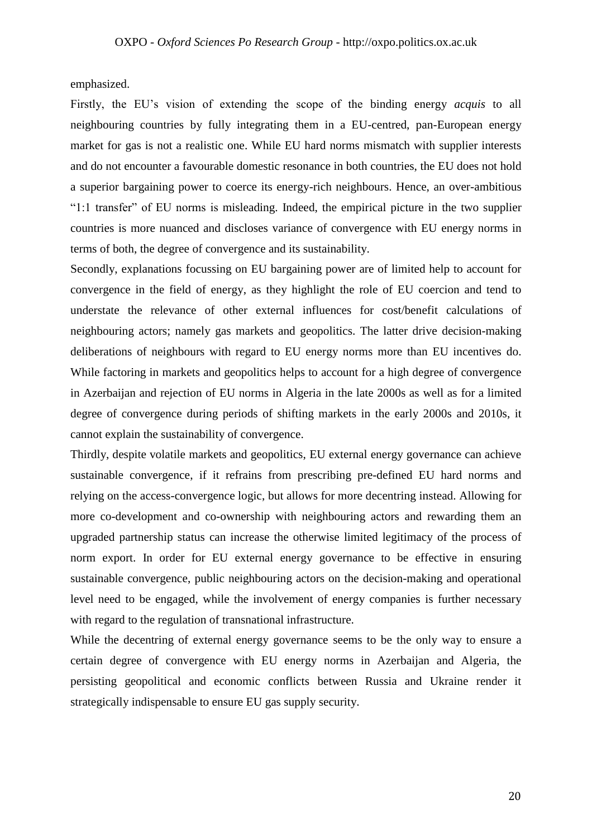emphasized.

Firstly, the EU's vision of extending the scope of the binding energy *acquis* to all neighbouring countries by fully integrating them in a EU-centred, pan-European energy market for gas is not a realistic one. While EU hard norms mismatch with supplier interests and do not encounter a favourable domestic resonance in both countries, the EU does not hold a superior bargaining power to coerce its energy-rich neighbours. Hence, an over-ambitious "1:1 transfer" of EU norms is misleading. Indeed, the empirical picture in the two supplier countries is more nuanced and discloses variance of convergence with EU energy norms in terms of both, the degree of convergence and its sustainability.

Secondly, explanations focussing on EU bargaining power are of limited help to account for convergence in the field of energy, as they highlight the role of EU coercion and tend to understate the relevance of other external influences for cost/benefit calculations of neighbouring actors; namely gas markets and geopolitics. The latter drive decision-making deliberations of neighbours with regard to EU energy norms more than EU incentives do. While factoring in markets and geopolitics helps to account for a high degree of convergence in Azerbaijan and rejection of EU norms in Algeria in the late 2000s as well as for a limited degree of convergence during periods of shifting markets in the early 2000s and 2010s, it cannot explain the sustainability of convergence.

Thirdly, despite volatile markets and geopolitics, EU external energy governance can achieve sustainable convergence, if it refrains from prescribing pre-defined EU hard norms and relying on the access-convergence logic, but allows for more decentring instead. Allowing for more co-development and co-ownership with neighbouring actors and rewarding them an upgraded partnership status can increase the otherwise limited legitimacy of the process of norm export. In order for EU external energy governance to be effective in ensuring sustainable convergence, public neighbouring actors on the decision-making and operational level need to be engaged, while the involvement of energy companies is further necessary with regard to the regulation of transnational infrastructure.

While the decentring of external energy governance seems to be the only way to ensure a certain degree of convergence with EU energy norms in Azerbaijan and Algeria, the persisting geopolitical and economic conflicts between Russia and Ukraine render it strategically indispensable to ensure EU gas supply security.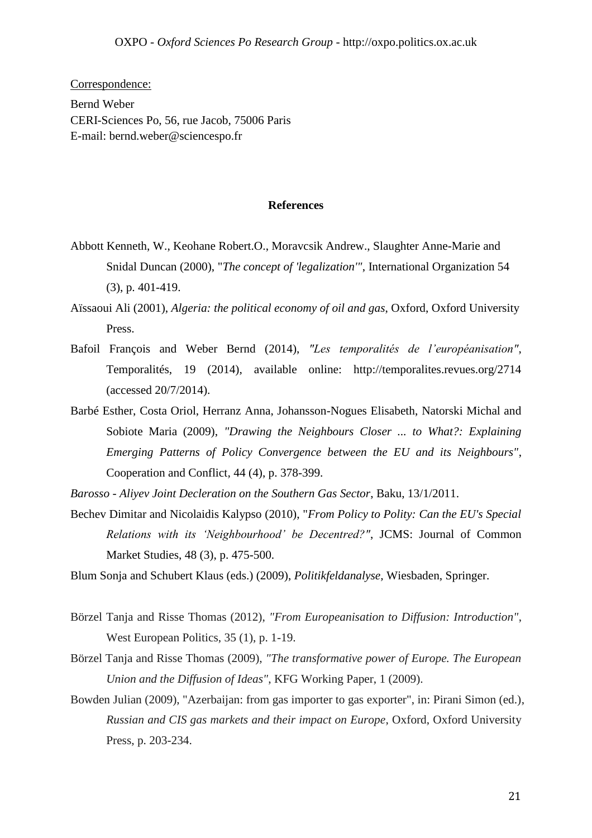Correspondence: Bernd Weber CERI-Sciences Po, 56, rue Jacob, 75006 Paris E-mail: bernd.weber@sciencespo.fr

#### **References**

- Abbott Kenneth, W., Keohane Robert.O., Moravcsik Andrew., Slaughter Anne-Marie and Snidal Duncan (2000), "*The concept of 'legalization'"*, International Organization 54 (3), p. 401-419.
- Aïssaoui Ali (2001), *Algeria: the political economy of oil and gas*, Oxford, Oxford University Press.
- Bafoil François and Weber Bernd (2014), *"Les temporalités de l'européanisation"*, Temporalités, 19 (2014), available online: http://temporalites.revues.org/2714 (accessed 20/7/2014).
- Barbé Esther, Costa Oriol, Herranz Anna, Johansson-Nogues Elisabeth, Natorski Michal and Sobiote Maria (2009), *"Drawing the Neighbours Closer ... to What?: Explaining Emerging Patterns of Policy Convergence between the EU and its Neighbours"*, Cooperation and Conflict*,* 44 (4), p. 378-399.
- *Barosso - Aliyev Joint Decleration on the Southern Gas Sector*, Baku, 13/1/2011.
- Bechev Dimitar and Nicolaidis Kalypso (2010), "*From Policy to Polity: Can the EU's Special Relations with its 'Neighbourhood' be Decentred?"*, JCMS: Journal of Common Market Studies, 48 (3), p. 475-500.
- Blum Sonja and Schubert Klaus (eds.) (2009), *Politikfeldanalyse,* Wiesbaden, Springer.
- Börzel Tanja and Risse Thomas (2012), *"From Europeanisation to Diffusion: Introduction"*, West European Politics, 35 (1), p. 1-19.
- Börzel Tanja and Risse Thomas (2009), *"The transformative power of Europe. The European Union and the Diffusion of Ideas"*, KFG Working Paper, 1 (2009).
- Bowden Julian (2009), "Azerbaijan: from gas importer to gas exporter", in: Pirani Simon (ed.), *Russian and CIS gas markets and their impact on Europe*, Oxford, Oxford University Press, p. 203-234.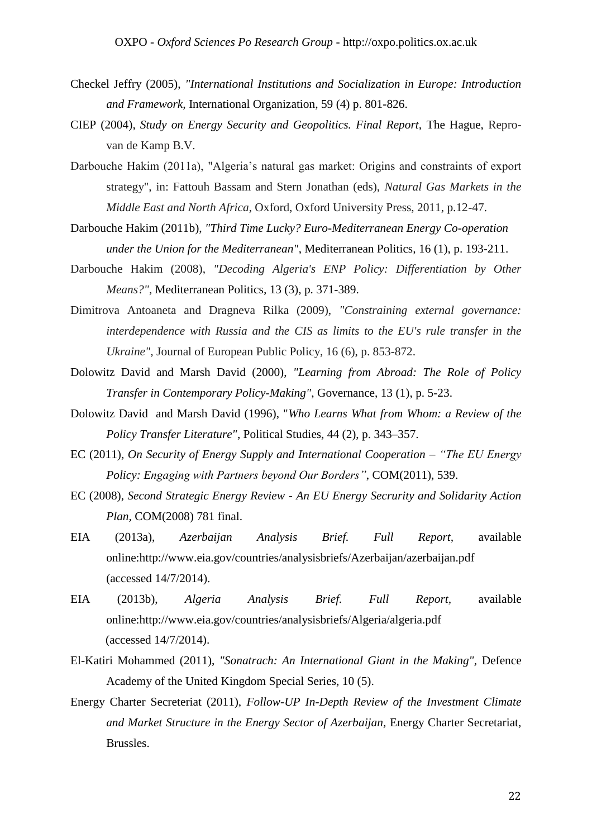- Checkel Jeffry (2005), *"International Institutions and Socialization in Europe: Introduction and Framework,* International Organization, 59 (4) p. 801-826.
- CIEP (2004), *Study on Energy Security and Geopolitics. Final Report,* The Hague, Reprovan de Kamp B.V.
- Darbouche Hakim (2011a), "Algeria's natural gas market: Origins and constraints of export strategy", in: Fattouh Bassam and Stern Jonathan (eds), *Natural Gas Markets in the Middle East and North Africa*, Oxford, Oxford University Press, 2011, p.12-47.
- Darbouche Hakim (2011b), *"Third Time Lucky? Euro-Mediterranean Energy Co-operation under the Union for the Mediterranean"*, Mediterranean Politics*,* 16 (1), p. 193-211.
- Darbouche Hakim (2008), *"Decoding Algeria's ENP Policy: Differentiation by Other Means?"*, Mediterranean Politics*,* 13 (3), p. 371-389.
- Dimitrova Antoaneta and Dragneva Rilka (2009), *"Constraining external governance: interdependence with Russia and the CIS as limits to the EU's rule transfer in the Ukraine",* Journal of European Public Policy, 16 (6), p. 853-872.
- Dolowitz David and Marsh David (2000), *"Learning from Abroad: The Role of Policy Transfer in Contemporary Policy-Making"*, Governance, 13 (1), p. 5-23.
- Dolowitz David and Marsh David (1996), "*Who Learns What from Whom: a Review of the Policy Transfer Literature"*, Political Studies, 44 (2), p. 343–357.
- EC (2011), *On Security of Energy Supply and International Cooperation – "The EU Energy Policy: Engaging with Partners beyond Our Borders"*, COM(2011), 539.
- EC (2008), *Second Strategic Energy Review - An EU Energy Secrurity and Solidarity Action Plan,* COM(2008) 781 final.
- EIA (2013a), *Azerbaijan Analysis Brief. Full Report,* available online:http://www.eia.gov/countries/analysisbriefs/Azerbaijan/azerbaijan.pdf (accessed 14/7/2014).
- EIA (2013b), *Algeria Analysis Brief. Full Report,* available online:http://www.eia.gov/countries/analysisbriefs/Algeria/algeria.pdf (accessed 14/7/2014).
- El-Katiri Mohammed (2011), *"Sonatrach: An International Giant in the Making",* Defence Academy of the United Kingdom Special Series, 10 (5).
- Energy Charter Secreteriat (2011), *Follow-UP In-Depth Review of the Investment Climate and Market Structure in the Energy Sector of Azerbaijan,* Energy Charter Secretariat, Brussles.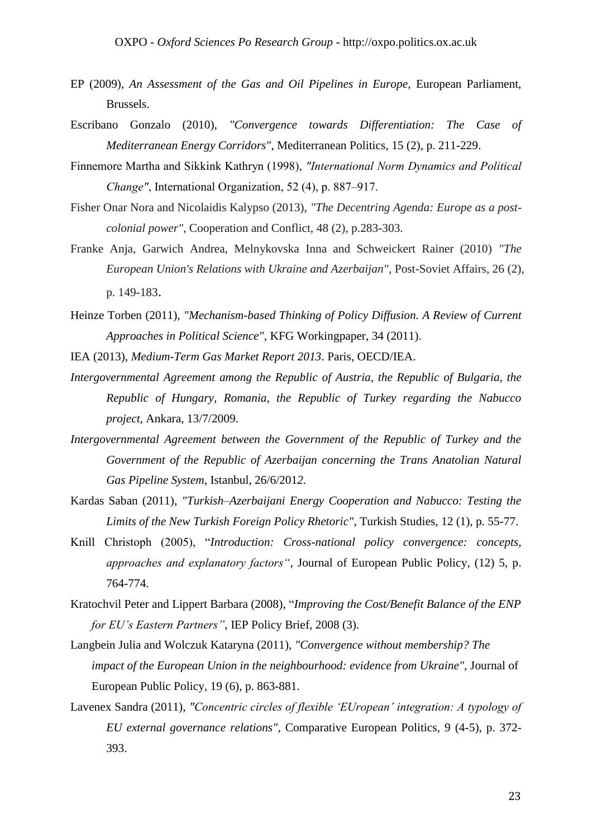- EP (2009), *An Assessment of the Gas and Oil Pipelines in Europe,* European Parliament, Brussels.
- Escribano Gonzalo (2010), *"Convergence towards Differentiation: The Case of Mediterranean Energy Corridors"*, Mediterranean Politics*,* 15 (2), p. 211-229.
- Finnemore Martha and Sikkink Kathryn (1998), *"International Norm Dynamics and Political Change"*, International Organization, 52 (4), p. 887–917.
- Fisher Onar Nora and Nicolaidis Kalypso (2013), *"The Decentring Agenda: Europe as a postcolonial power",* Cooperation and Conflict, 48 (2), p.283-303.
- Franke Anja, Garwich Andrea, Melnykovska Inna and Schweickert Rainer (2010) *"The European Union's Relations with Ukraine and Azerbaijan"*, Post-Soviet Affairs, 26 (2), p. 149-183.
- Heinze Torben (2011), *"Mechanism-based Thinking of Policy Diffusion. A Review of Current Approaches in Political Science"*, KFG Workingpaper, 34 (2011).
- IEA (2013), *Medium-Term Gas Market Report 2013*. Paris, OECD/IEA.
- *Intergovernmental Agreement among the Republic of Austria, the Republic of Bulgaria, the Republic of Hungary, Romania, the Republic of Turkey regarding the Nabucco project,* Ankara, 13/7/2009.
- *Intergovernmental Agreement between the Government of the Republic of Turkey and the Government of the Republic of Azerbaijan concerning the Trans Anatolian Natural Gas Pipeline System,* Istanbul, 26/6/201*2.*
- Kardas Saban (2011), *"Turkish–Azerbaijani Energy Cooperation and Nabucco: Testing the Limits of the New Turkish Foreign Policy Rhetoric"*, Turkish Studies, 12 (1), p. 55-77.
- Knill Christoph (2005), "*Introduction: Cross-national policy convergence: concepts, approaches and explanatory factors"*, Journal of European Public Policy*,* (12) 5, p. 764-774.
- Kratochvil Peter and Lippert Barbara (2008), "*Improving the Cost/Benefit Balance of the ENP for EU's Eastern Partners"*, IEP Policy Brief*,* 2008 (3).
- Langbein Julia and Wolczuk Kataryna (2011), *"Convergence without membership? The impact of the European Union in the neighbourhood: evidence from Ukraine",* Journal of European Public Policy*,* 19 (6), p. 863-881.
- Lavenex Sandra (2011), *"Concentric circles of flexible 'EUropean' integration: A typology of EU external governance relations"*, Comparative European Politics*,* 9 (4-5), p. 372- 393.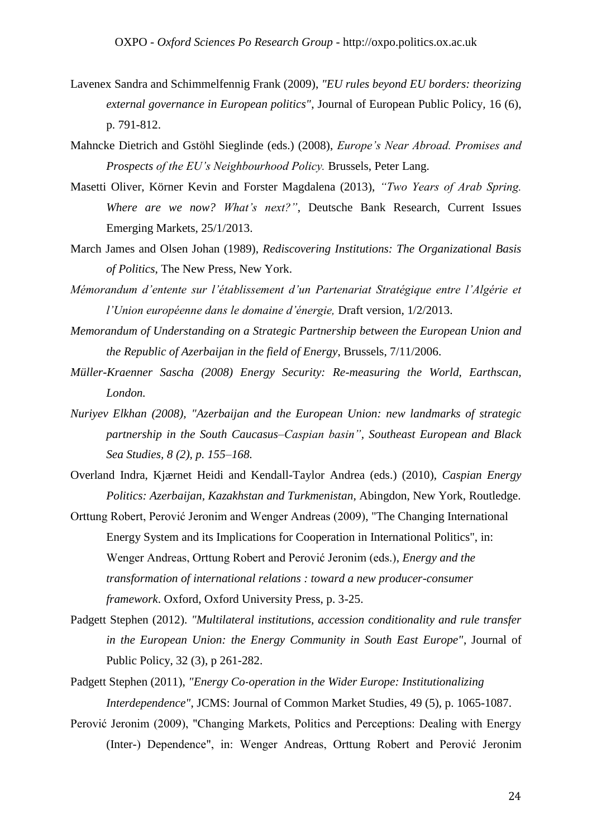- Lavenex Sandra and Schimmelfennig Frank (2009), *"EU rules beyond EU borders: theorizing external governance in European politics"*, Journal of European Public Policy*,* 16 (6), p. 791-812.
- Mahncke Dietrich and Gstöhl Sieglinde (eds.) (2008), *Europe's Near Abroad. Promises and Prospects of the EU's Neighbourhood Policy.* Brussels, Peter Lang.
- Masetti Oliver, Körner Kevin and Forster Magdalena (2013), *"Two Years of Arab Spring. Where are we now? What's next?"*, Deutsche Bank Research, Current Issues Emerging Markets, 25/1/2013.
- March James and Olsen Johan (1989), *Rediscovering Institutions: The Organizational Basis of Politics*, The New Press, New York.
- *Mémorandum d'entente sur l'établissement d'un Partenariat Stratégique entre l'Algérie et l'Union européenne dans le domaine d'énergie,* Draft version*,* 1/2/2013.
- *Memorandum of Understanding on a Strategic Partnership between the European Union and the Republic of Azerbaijan in the field of Energy*, Brussels, 7/11/2006.
- *Müller-Kraenner Sascha (2008) Energy Security: Re-measuring the World, Earthscan, London.*
- *Nuriyev Elkhan (2008), "Azerbaijan and the European Union: new landmarks of strategic partnership in the South Caucasus–Caspian basin", Southeast European and Black Sea Studies, 8 (2), p. 155–168.*
- Overland Indra, Kjærnet Heidi and Kendall-Taylor Andrea (eds.) (2010), *Caspian Energy Politics: Azerbaijan, Kazakhstan and Turkmenistan*, Abingdon, New York, Routledge.
- Orttung Robert, Perović Jeronim and Wenger Andreas (2009), "The Changing International Energy System and its Implications for Cooperation in International Politics", in: Wenger Andreas, Orttung Robert and Perović Jeronim (eds.), *Energy and the transformation of international relations : toward a new producer-consumer framework*. Oxford, Oxford University Press, p. 3-25.
- Padgett Stephen (2012). *"Multilateral institutions, accession conditionality and rule transfer in the European Union: the Energy Community in South East Europe"*, Journal of Public Policy, 32 (3), p 261-282.
- Padgett Stephen (2011), *"Energy Co‐operation in the Wider Europe: Institutionalizing Interdependence"*, JCMS: Journal of Common Market Studies*,* 49 (5), p. 1065-1087.
- Perović Jeronim (2009), "Changing Markets, Politics and Perceptions: Dealing with Energy (Inter-) Dependence", in: Wenger Andreas, Orttung Robert and Perović Jeronim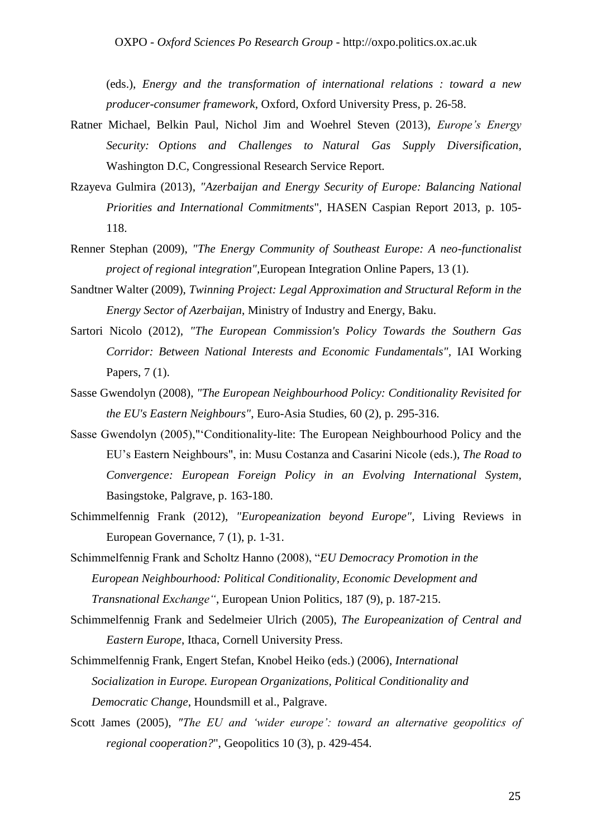(eds.), *Energy and the transformation of international relations : toward a new producer-consumer framework*, Oxford, Oxford University Press, p. 26-58.

- Ratner Michael, Belkin Paul, Nichol Jim and Woehrel Steven (2013), *Europe's Energy Security: Options and Challenges to Natural Gas Supply Diversification*, Washington D.C, Congressional Research Service Report.
- Rzayeva Gulmira (2013), *"Azerbaijan and Energy Security of Europe: Balancing National Priorities and International Commitments*", [HASEN](https://independent.academia.edu/HazarStratejiEnstit%C3%BCs%C3%BCCaspianStrategyInstitute) Caspian Report 2013*,* p. 105- 118.
- Renner Stephan (2009), *"The Energy Community of Southeast Europe: A neo-functionalist project of regional integration",*European Integration Online Papers, 13 (1).
- Sandtner Walter (2009), *Twinning Project: Legal Approximation and Structural Reform in the Energy Sector of Azerbaijan*, Ministry of Industry and Energy, Baku.
- Sartori Nicolo (2012), *"The European Commission's Policy Towards the Southern Gas Corridor: Between National Interests and Economic Fundamentals",* IAI Working Papers, 7 (1).
- Sasse Gwendolyn (2008), *"The European Neighbourhood Policy: Conditionality Revisited for the EU's Eastern Neighbours"*, Euro-Asia Studies, 60 (2), p. 295-316.
- Sasse Gwendolyn (2005),"'Conditionality-lite: The European Neighbourhood Policy and the EU's Eastern Neighbours", in: Musu Costanza and Casarini Nicole (eds.), *The Road to Convergence: European Foreign Policy in an Evolving International System*, Basingstoke, Palgrave, p. 163-180.
- Schimmelfennig Frank (2012), *"Europeanization beyond Europe",* Living Reviews in European Governance, 7 (1), p. 1-31.
- Schimmelfennig Frank and Scholtz Hanno (2008), "*EU Democracy Promotion in the European Neighbourhood: Political Conditionality, Economic Development and Transnational Exchange"*, European Union Politics*,* 187 (9), p. 187-215.
- Schimmelfennig Frank and Sedelmeier Ulrich (2005), *The Europeanization of Central and Eastern Europe*, Ithaca, Cornell University Press.
- Schimmelfennig Frank, Engert Stefan, Knobel Heiko (eds.) (2006), *International Socialization in Europe. European Organizations, Political Conditionality and Democratic Change*, Houndsmill et al., Palgrave.
- Scott James (2005), *"The EU and 'wider europe': toward an alternative geopolitics of regional cooperation?*", Geopolitics 10 (3), p. 429-454.